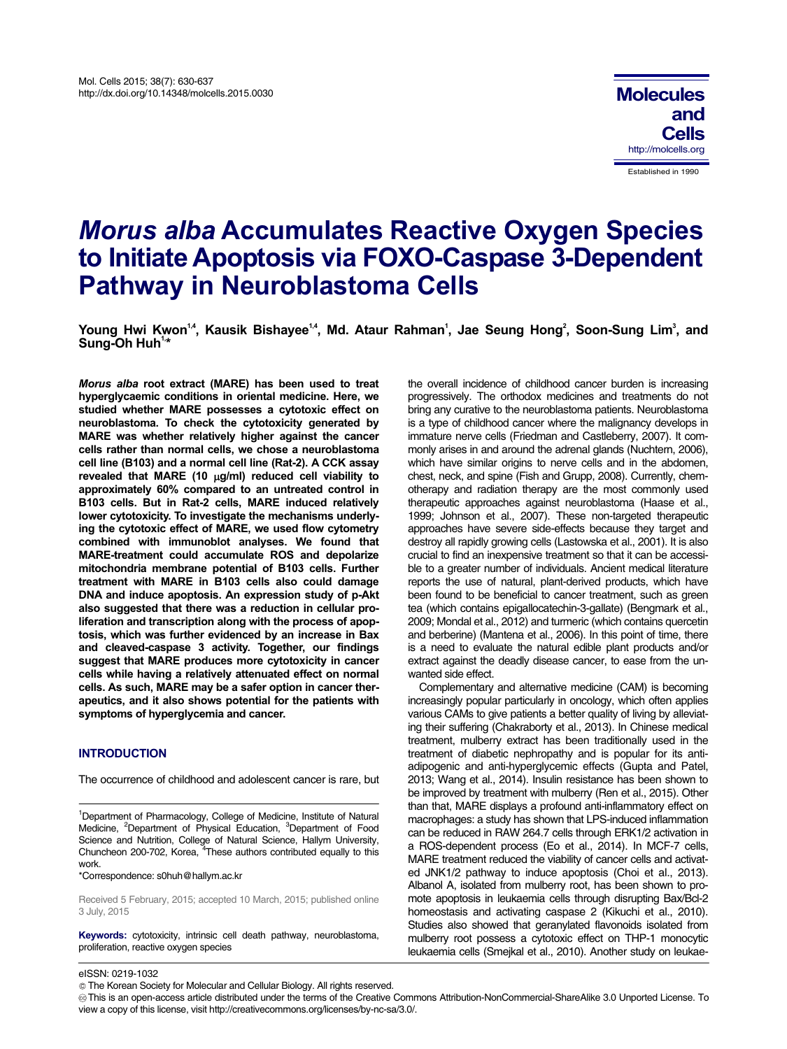# *Morus alba* **Accumulates Reactive Oxygen Species to Initiate Apoptosis via FOXO-Caspase 3-Dependent Pathway in Neuroblastoma Cells**

Young Hwi Kwon<sup>1,4</sup>, Kausik Bishayee<sup>1,4</sup>, Md. Ataur Rahman<sup>1</sup>, Jae Seung Hong<sup>2</sup>, Soon-Sung Lim<sup>3</sup>, and Sung-Oh Huh<sup>1,4</sup>

*Morus alba* **root extract (MARE) has been used to treat hyperglycaemic conditions in oriental medicine. Here, we studied whether MARE possesses a cytotoxic effect on neuroblastoma. To check the cytotoxicity generated by MARE was whether relatively higher against the cancer cells rather than normal cells, we chose a neuroblastoma cell line (B103) and a normal cell line (Rat-2). A CCK assay**  revealed that MARE (10 µg/ml) reduced cell viability to **approximately 60% compared to an untreated control in B103 cells. But in Rat-2 cells, MARE induced relatively lower cytotoxicity. To investigate the mechanisms underlying the cytotoxic effect of MARE, we used flow cytometry combined with immunoblot analyses. We found that MARE-treatment could accumulate ROS and depolarize mitochondria membrane potential of B103 cells. Further treatment with MARE in B103 cells also could damage DNA and induce apoptosis. An expression study of p-Akt also suggested that there was a reduction in cellular proliferation and transcription along with the process of apoptosis, which was further evidenced by an increase in Bax and cleaved-caspase 3 activity. Together, our findings suggest that MARE produces more cytotoxicity in cancer cells while having a relatively attenuated effect on normal cells. As such, MARE may be a safer option in cancer therapeutics, and it also shows potential for the patients with symptoms of hyperglycemia and cancer.** 

# **INTRODUCTION**

The occurrence of childhood and adolescent cancer is rare, but

\*Correspondence: s0huh@hallym.ac.kr

GGGGGGGGGGGGGGGGGGGGGGGGGGGGGGGGGGGGGGGG GGG

Received 5 February, 2015; accepted 10 March, 2015; published online 3 July, 2015

**Keywords:** cytotoxicity, intrinsic cell death pathway, neuroblastoma, proliferation, reactive oxygen species

the overall incidence of childhood cancer burden is increasing progressively. The orthodox medicines and treatments do not bring any curative to the neuroblastoma patients. Neuroblastoma is a type of childhood cancer where the malignancy develops in immature nerve cells (Friedman and Castleberry, 2007). It commonly arises in and around the adrenal glands (Nuchtern, 2006), which have similar origins to nerve cells and in the abdomen, chest, neck, and spine (Fish and Grupp, 2008). Currently, chemotherapy and radiation therapy are the most commonly used therapeutic approaches against neuroblastoma (Haase et al., 1999; Johnson et al., 2007). These non-targeted therapeutic approaches have severe side-effects because they target and destroy all rapidly growing cells (Lastowska et al., 2001). It is also crucial to find an inexpensive treatment so that it can be accessible to a greater number of individuals. Ancient medical literature reports the use of natural, plant-derived products, which have been found to be beneficial to cancer treatment, such as green tea (which contains epigallocatechin-3-gallate) (Bengmark et al., 2009; Mondal et al., 2012) and turmeric (which contains quercetin and berberine) (Mantena et al., 2006). In this point of time, there is a need to evaluate the natural edible plant products and/or extract against the deadly disease cancer, to ease from the unwanted side effect.

Complementary and alternative medicine (CAM) is becoming increasingly popular particularly in oncology, which often applies various CAMs to give patients a better quality of living by alleviating their suffering (Chakraborty et al., 2013). In Chinese medical treatment, mulberry extract has been traditionally used in the treatment of diabetic nephropathy and is popular for its antiadipogenic and anti-hyperglycemic effects (Gupta and Patel, 2013; Wang et al., 2014). Insulin resistance has been shown to be improved by treatment with mulberry (Ren et al., 2015). Other than that, MARE displays a profound anti-inflammatory effect on macrophages: a study has shown that LPS-induced inflammation can be reduced in RAW 264.7 cells through ERK1/2 activation in a ROS-dependent process (Eo et al., 2014). In MCF-7 cells, MARE treatment reduced the viability of cancer cells and activated JNK1/2 pathway to induce apoptosis (Choi et al., 2013). Albanol A, isolated from mulberry root, has been shown to promote apoptosis in leukaemia cells through disrupting Bax/Bcl-2 homeostasis and activating caspase 2 (Kikuchi et al., 2010). Studies also showed that geranylated flavonoids isolated from mulberry root possess a cytotoxic effect on THP-1 monocytic leukaemia cells (Smejkal et al., 2010). Another study on leukae-

eISSN: 0219-1032

This is an open-access article distributed under the terms of the Creative Commons Attribution-NonCommercial-ShareAlike 3.0 Unported License. To view a copy of this license, visit http://creativecommons.org/licenses/by-nc-sa/3.0/.

<sup>&</sup>lt;sup>1</sup>Department of Pharmacology, College of Medicine, Institute of Natural Medicine, <sup>2</sup>Department of Physical Education, <sup>3</sup>Department of Food Science and Nutrition, College of Natural Science, Hallym University, Chuncheon 200-702, Korea, <sup>4</sup>These authors contributed equally to this work.

The Korean Society for Molecular and Cellular Biology. All rights reserved.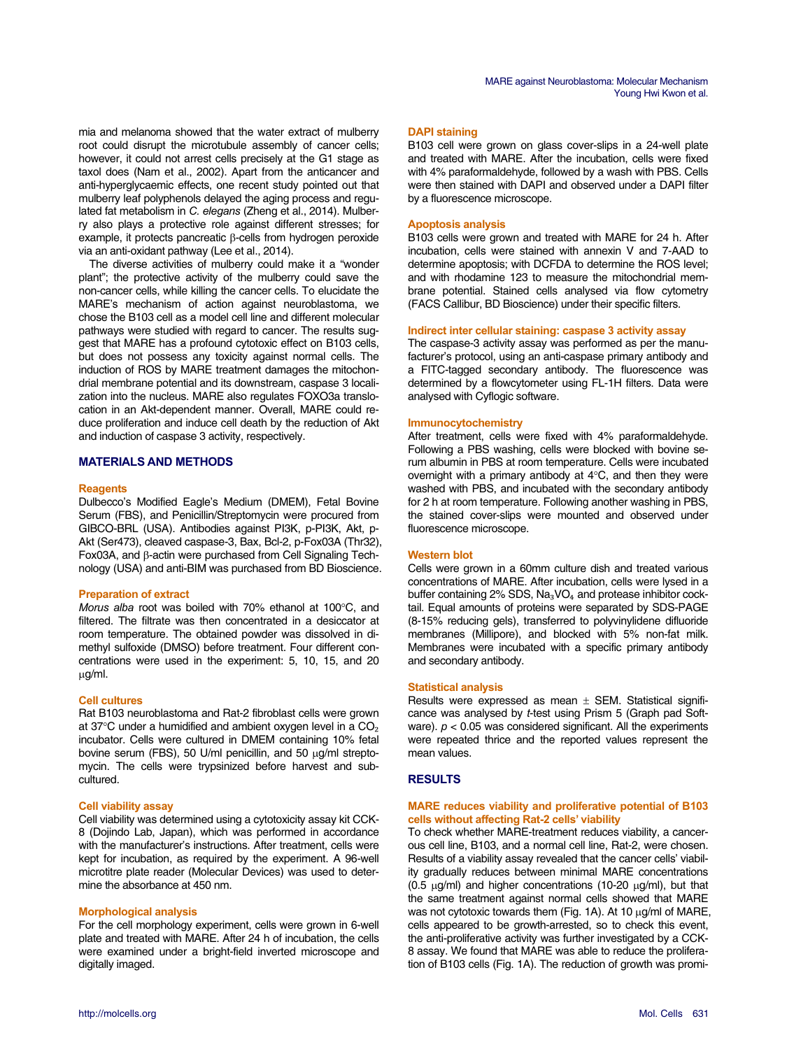mia and melanoma showed that the water extract of mulberry root could disrupt the microtubule assembly of cancer cells; however, it could not arrest cells precisely at the G1 stage as taxol does (Nam et al., 2002). Apart from the anticancer and anti-hyperglycaemic effects, one recent study pointed out that mulberry leaf polyphenols delayed the aging process and regulated fat metabolism in *C. elegans* (Zheng et al., 2014). Mulberry also plays a protective role against different stresses; for example, it protects pancreatic  $\beta$ -cells from hydrogen peroxide via an anti-oxidant pathway (Lee et al., 2014).

The diverse activities of mulberry could make it a "wonder plant"; the protective activity of the mulberry could save the non-cancer cells, while killing the cancer cells. To elucidate the MARE's mechanism of action against neuroblastoma, we chose the B103 cell as a model cell line and different molecular pathways were studied with regard to cancer. The results suggest that MARE has a profound cytotoxic effect on B103 cells, but does not possess any toxicity against normal cells. The induction of ROS by MARE treatment damages the mitochondrial membrane potential and its downstream, caspase 3 localization into the nucleus. MARE also regulates FOXO3a translocation in an Akt-dependent manner. Overall, MARE could reduce proliferation and induce cell death by the reduction of Akt and induction of caspase 3 activity, respectively.

# **MATERIALS AND METHODS**

#### **Reagents**

Dulbecco's Modified Eagle's Medium (DMEM), Fetal Bovine Serum (FBS), and Penicillin/Streptomycin were procured from GIBCO-BRL (USA). Antibodies against PI3K, p-PI3K, Akt, p-Akt (Ser473), cleaved caspase-3, Bax, Bcl-2, p-Fox03A (Thr32), Fox03A, and  $\beta$ -actin were purchased from Cell Signaling Technology (USA) and anti-BIM was purchased from BD Bioscience.

## **Preparation of extract**

*Morus alba* root was boiled with 70% ethanol at 100°C, and filtered. The filtrate was then concentrated in a desiccator at room temperature. The obtained powder was dissolved in dimethyl sulfoxide (DMSO) before treatment. Four different concentrations were used in the experiment: 5, 10, 15, and 20 -g/ml.

#### **Cell cultures**

Rat B103 neuroblastoma and Rat-2 fibroblast cells were grown at 37°C under a humidified and ambient oxygen level in a  $CO<sub>2</sub>$ incubator. Cells were cultured in DMEM containing 10% fetal bovine serum (FBS), 50 U/ml penicillin, and 50  $\mu$ g/ml streptomycin. The cells were trypsinized before harvest and subcultured.

#### **Cell viability assay**

Cell viability was determined using a cytotoxicity assay kit CCK-8 (Dojindo Lab, Japan), which was performed in accordance with the manufacturer's instructions. After treatment, cells were kept for incubation, as required by the experiment. A 96-well microtitre plate reader (Molecular Devices) was used to determine the absorbance at 450 nm.

## **Morphological analysis**

For the cell morphology experiment, cells were grown in 6-well plate and treated with MARE. After 24 h of incubation, the cells were examined under a bright-field inverted microscope and digitally imaged.

B103 cell were grown on glass cover-slips in a 24-well plate and treated with MARE. After the incubation, cells were fixed with 4% paraformaldehyde, followed by a wash with PBS. Cells were then stained with DAPI and observed under a DAPI filter by a fluorescence microscope.

## **Apoptosis analysis**

B103 cells were grown and treated with MARE for 24 h. After incubation, cells were stained with annexin V and 7-AAD to determine apoptosis; with DCFDA to determine the ROS level; and with rhodamine 123 to measure the mitochondrial membrane potential. Stained cells analysed via flow cytometry (FACS Callibur, BD Bioscience) under their specific filters.

#### **Indirect inter cellular staining: caspase 3 activity assay**

The caspase-3 activity assay was performed as per the manufacturer's protocol, using an anti-caspase primary antibody and a FITC-tagged secondary antibody. The fluorescence was determined by a flowcytometer using FL-1H filters. Data were analysed with Cyflogic software.

#### **Immunocytochemistry**

After treatment, cells were fixed with 4% paraformaldehyde. Following a PBS washing, cells were blocked with bovine serum albumin in PBS at room temperature. Cells were incubated overnight with a primary antibody at  $4^{\circ}$ C, and then they were washed with PBS, and incubated with the secondary antibody for 2 h at room temperature. Following another washing in PBS, the stained cover-slips were mounted and observed under fluorescence microscope.

## **Western blot**

Cells were grown in a 60mm culture dish and treated various concentrations of MARE. After incubation, cells were lysed in a buffer containing  $2\%$  SDS, Na<sub>3</sub>VO<sub>4</sub> and protease inhibitor cocktail. Equal amounts of proteins were separated by SDS-PAGE (8-15% reducing gels), transferred to polyvinylidene difluoride membranes (Millipore), and blocked with 5% non-fat milk. Membranes were incubated with a specific primary antibody and secondary antibody.

#### **Statistical analysis**

Results were expressed as mean  $\pm$  SEM. Statistical significance was analysed by *t*-test using Prism 5 (Graph pad Software). *p* < 0.05 was considered significant. All the experiments were repeated thrice and the reported values represent the mean values.

# **RESULTS**

## **MARE reduces viability and proliferative potential of B103 cells without affecting Rat-2 cells' viability**

To check whether MARE-treatment reduces viability, a cancerous cell line, B103, and a normal cell line, Rat-2, were chosen. Results of a viability assay revealed that the cancer cells' viability gradually reduces between minimal MARE concentrations  $(0.5 \text{ }\mu\text{g/ml})$  and higher concentrations (10-20  $\mu\text{g/ml}$ ), but that the same treatment against normal cells showed that MARE was not cytotoxic towards them (Fig. 1A). At 10  $\mu$ g/ml of MARE, cells appeared to be growth-arrested, so to check this event, the anti-proliferative activity was further investigated by a CCK-8 assay. We found that MARE was able to reduce the proliferation of B103 cells (Fig. 1A). The reduction of growth was promi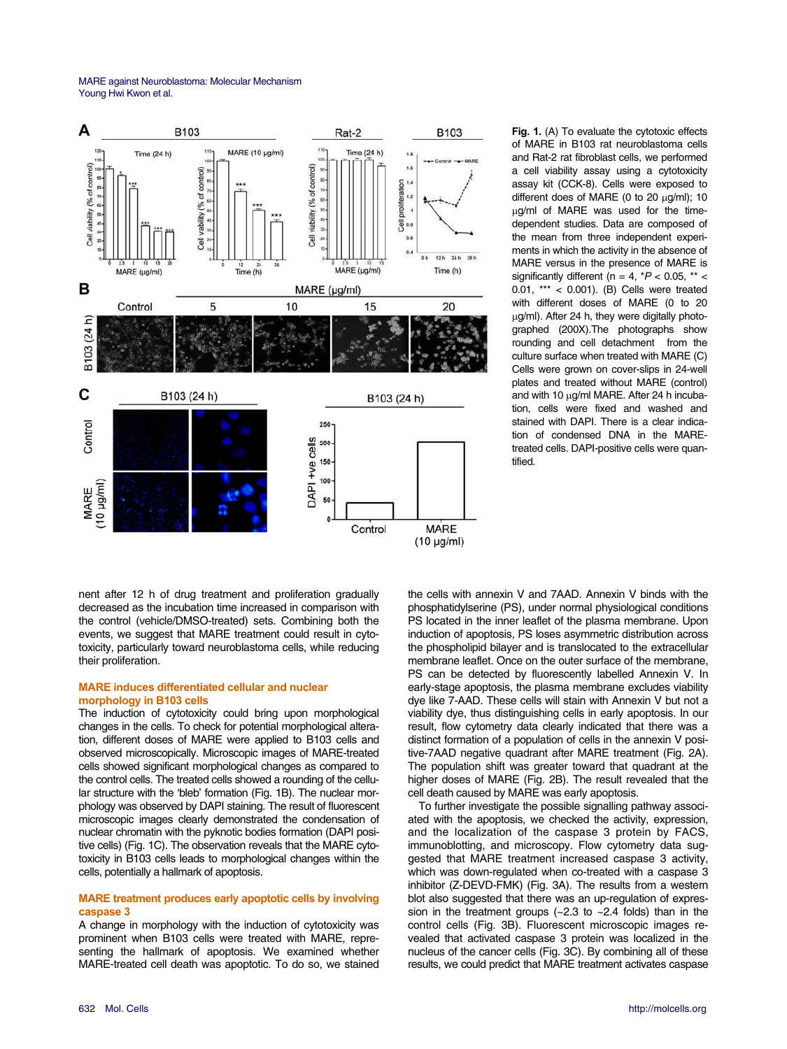MARE against Neuroblastoma: Molecular Mechanism Young Hwi Kwon et al.



**Fig. 1.** (A) To evaluate the cytotoxic effects of MARE in B103 rat neuroblastoma cells and Rat-2 rat fibroblast cells, we performed a cell viability assay using a cytotoxicity assay kit (CCK-8). Cells were exposed to different does of MARE (0 to 20  $\mu$ g/ml); 10 µg/ml of MARE was used for the timedependent studies. Data are composed of the mean from three independent experiments in which the activity in the absence of MARE versus in the presence of MARE is significantly different ( $n = 4$ ,  $*P < 0.05$ ,  $** <$ 0.01, \*\*\* < 0.001). (B) Cells were treated with different doses of MARE (0 to 20 µg/ml). After 24 h, they were digitally photographed (200X).The photographs show rounding and cell detachment from the culture surface when treated with MARE (C) Cells were grown on cover-slips in 24-well plates and treated without MARE (control) and with 10 µg/ml MARE. After 24 h incubation, cells were fixed and washed and stained with DAPI. There is a clear indication of condensed DNA in the MAREtreated cells. DAPI-positive cells were quantified.

nent after 12 h of drug treatment and proliferation gradually decreased as the incubation time increased in comparison with the control (vehicle/DMSO-treated) sets. Combining both the events, we suggest that MARE treatment could result in cytotoxicity, particularly toward neuroblastoma cells, while reducing their proliferation.

#### **MARE induces differentiated cellular and nuclear morphology in B103 cells**

The induction of cytotoxicity could bring upon morphological changes in the cells. To check for potential morphological alteration, different doses of MARE were applied to B103 cells and observed microscopically. Microscopic images of MARE-treated cells showed significant morphological changes as compared to the control cells. The treated cells showed a rounding of the cellular structure with the 'bleb' formation (Fig. 1B). The nuclear morphology was observed by DAPI staining. The result of fluorescent microscopic images clearly demonstrated the condensation of nuclear chromatin with the pyknotic bodies formation (DAPI positive cells) (Fig. 1C). The observation reveals that the MARE cytotoxicity in B103 cells leads to morphological changes within the cells, potentially a hallmark of apoptosis.

# **MARE treatment produces early apoptotic cells by involving caspase 3**

A change in morphology with the induction of cytotoxicity was prominent when B103 cells were treated with MARE, representing the hallmark of apoptosis. We examined whether MARE-treated cell death was apoptotic. To do so, we stained

the cells with annexin V and 7AAD. Annexin V binds with the phosphatidylserine (PS), under normal physiological conditions PS located in the inner leaflet of the plasma membrane. Upon induction of apoptosis, PS loses asymmetric distribution across the phospholipid bilayer and is translocated to the extracellular membrane leaflet. Once on the outer surface of the membrane, PS can be detected by fluorescently labelled Annexin V. In early-stage apoptosis, the plasma membrane excludes viability dye like 7-AAD. These cells will stain with Annexin V but not a viability dye, thus distinguishing cells in early apoptosis. In our result, flow cytometry data clearly indicated that there was a distinct formation of a population of cells in the annexin V positive-7AAD negative quadrant after MARE treatment (Fig. 2A). The population shift was greater toward that quadrant at the higher doses of MARE (Fig. 2B). The result revealed that the cell death caused by MARE was early apoptosis.

To further investigate the possible signalling pathway associated with the apoptosis, we checked the activity, expression, and the localization of the caspase 3 protein by FACS, immunoblotting, and microscopy. Flow cytometry data suggested that MARE treatment increased caspase 3 activity, which was down-regulated when co-treated with a caspase 3 inhibitor (Z-DEVD-FMK) (Fig. 3A). The results from a western blot also suggested that there was an up-regulation of expression in the treatment groups  $(-2.3 \text{ to } -2.4 \text{ folds})$  than in the control cells (Fig. 3B). Fluorescent microscopic images revealed that activated caspase 3 protein was localized in the nucleus of the cancer cells (Fig. 3C). By combining all of these results, we could predict that MARE treatment activates caspase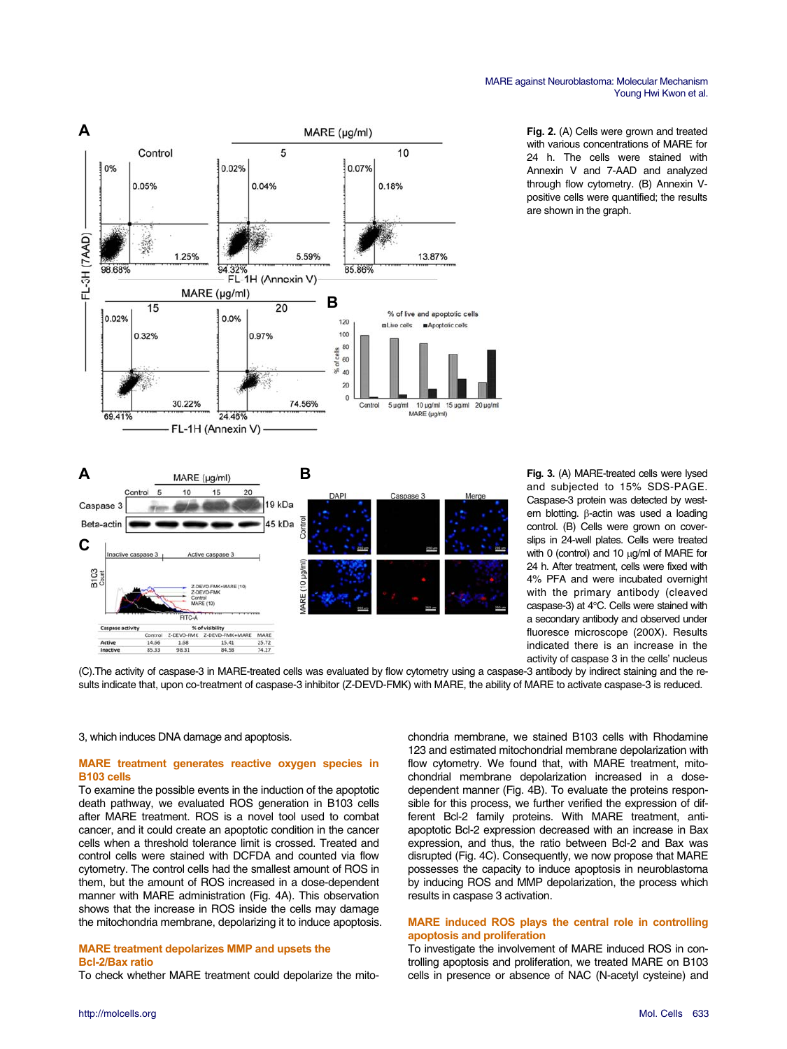





**Fig. 3.** (A) MARE-treated cells were lysed and subjected to 15% SDS-PAGE. Caspase-3 protein was detected by western blotting.  $\beta$ -actin was used a loading control. (B) Cells were grown on coverslips in 24-well plates. Cells were treated with 0 (control) and 10  $\mu$ g/ml of MARE for 24 h. After treatment, cells were fixed with 4% PFA and were incubated overnight with the primary antibody (cleaved caspase-3) at  $4^{\circ}$ C. Cells were stained with a secondary antibody and observed under fluoresce microscope (200X). Results indicated there is an increase in the activity of caspase 3 in the cells' nucleus

(C).The activity of caspase-3 in MARE-treated cells was evaluated by flow cytometry using a caspase-3 antibody by indirect staining and the results indicate that, upon co-treatment of caspase-3 inhibitor (Z-DEVD-FMK) with MARE, the ability of MARE to activate caspase-3 is reduced.

3, which induces DNA damage and apoptosis.

# **MARE treatment generates reactive oxygen species in B103 cells**

To examine the possible events in the induction of the apoptotic death pathway, we evaluated ROS generation in B103 cells after MARE treatment. ROS is a novel tool used to combat cancer, and it could create an apoptotic condition in the cancer cells when a threshold tolerance limit is crossed. Treated and control cells were stained with DCFDA and counted via flow cytometry. The control cells had the smallest amount of ROS in them, but the amount of ROS increased in a dose-dependent manner with MARE administration (Fig. 4A). This observation shows that the increase in ROS inside the cells may damage the mitochondria membrane, depolarizing it to induce apoptosis.

# **MARE treatment depolarizes MMP and upsets the Bcl-2/Bax ratio**

To check whether MARE treatment could depolarize the mito-

chondria membrane, we stained B103 cells with Rhodamine 123 and estimated mitochondrial membrane depolarization with flow cytometry. We found that, with MARE treatment, mitochondrial membrane depolarization increased in a dosedependent manner (Fig. 4B). To evaluate the proteins responsible for this process, we further verified the expression of different Bcl-2 family proteins. With MARE treatment, antiapoptotic Bcl-2 expression decreased with an increase in Bax expression, and thus, the ratio between Bcl-2 and Bax was disrupted (Fig. 4C). Consequently, we now propose that MARE possesses the capacity to induce apoptosis in neuroblastoma by inducing ROS and MMP depolarization, the process which results in caspase 3 activation.

## **MARE induced ROS plays the central role in controlling apoptosis and proliferation**

To investigate the involvement of MARE induced ROS in controlling apoptosis and proliferation, we treated MARE on B103 cells in presence or absence of NAC (N-acetyl cysteine) and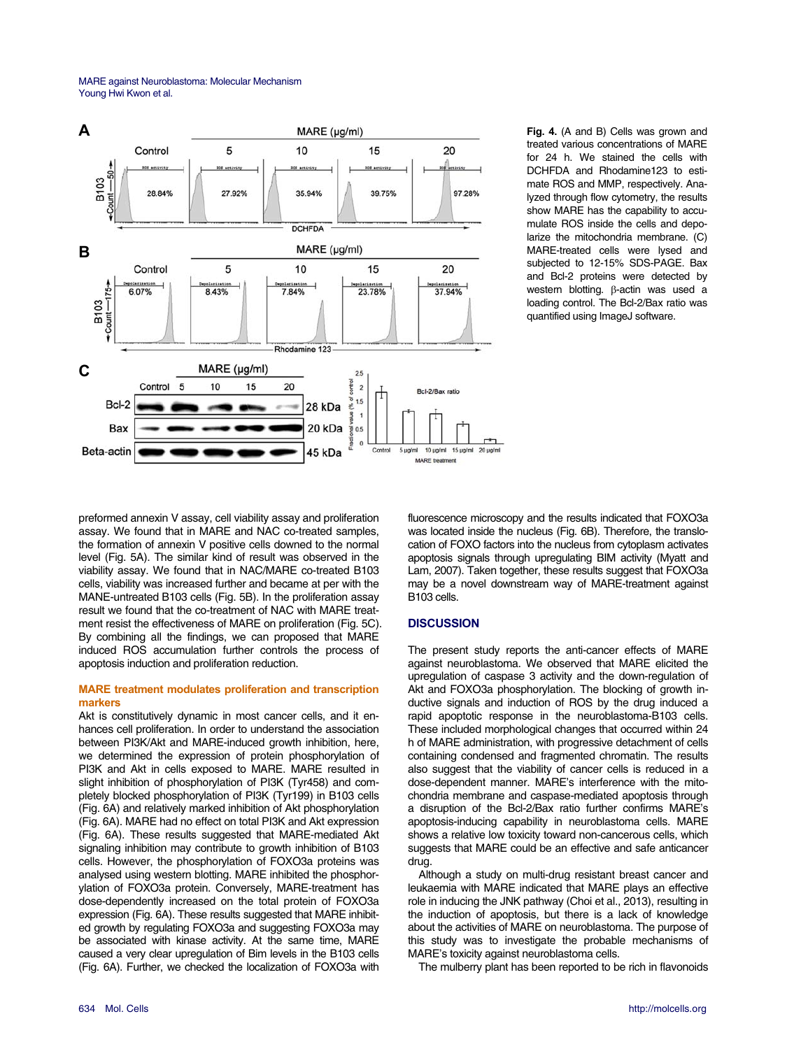MARE against Neuroblastoma: Molecular Mechanism Young Hwi Kwon et al.



**Fig. 4.** (A and B) Cells was grown and treated various concentrations of MARE for 24 h. We stained the cells with DCHFDA and Rhodamine123 to estimate ROS and MMP, respectively. Analyzed through flow cytometry, the results show MARE has the capability to accumulate ROS inside the cells and depolarize the mitochondria membrane. (C) MARE-treated cells were lysed and subjected to 12-15% SDS-PAGE. Bax and Bcl-2 proteins were detected by western blotting.  $\beta$ -actin was used a loading control. The Bcl-2/Bax ratio was quantified using ImageJ software.

preformed annexin V assay, cell viability assay and proliferation assay. We found that in MARE and NAC co-treated samples, the formation of annexin V positive cells downed to the normal level (Fig. 5A). The similar kind of result was observed in the viability assay. We found that in NAC/MARE co-treated B103 cells, viability was increased further and became at per with the MANE-untreated B103 cells (Fig. 5B). In the proliferation assay result we found that the co-treatment of NAC with MARE treatment resist the effectiveness of MARE on proliferation (Fig. 5C). By combining all the findings, we can proposed that MARE induced ROS accumulation further controls the process of apoptosis induction and proliferation reduction.

# **MARE treatment modulates proliferation and transcription markers**

Akt is constitutively dynamic in most cancer cells, and it enhances cell proliferation. In order to understand the association between PI3K/Akt and MARE-induced growth inhibition, here, we determined the expression of protein phosphorylation of PI3K and Akt in cells exposed to MARE. MARE resulted in slight inhibition of phosphorylation of PI3K (Tyr458) and completely blocked phosphorylation of PI3K (Tyr199) in B103 cells (Fig. 6A) and relatively marked inhibition of Akt phosphorylation (Fig. 6A). MARE had no effect on total PI3K and Akt expression (Fig. 6A). These results suggested that MARE-mediated Akt signaling inhibition may contribute to growth inhibition of B103 cells. However, the phosphorylation of FOXO3a proteins was analysed using western blotting. MARE inhibited the phosphorylation of FOXO3a protein. Conversely, MARE-treatment has dose-dependently increased on the total protein of FOXO3a expression (Fig. 6A). These results suggested that MARE inhibited growth by regulating FOXO3a and suggesting FOXO3a may be associated with kinase activity. At the same time, MARE caused a very clear upregulation of Bim levels in the B103 cells (Fig. 6A). Further, we checked the localization of FOXO3a with

fluorescence microscopy and the results indicated that FOXO3a was located inside the nucleus (Fig. 6B). Therefore, the translocation of FOXO factors into the nucleus from cytoplasm activates apoptosis signals through upregulating BIM activity (Myatt and Lam, 2007). Taken together, these results suggest that FOXO3a may be a novel downstream way of MARE-treatment against B103 cells.

# **DISCUSSION**

The present study reports the anti-cancer effects of MARE against neuroblastoma. We observed that MARE elicited the upregulation of caspase 3 activity and the down-regulation of Akt and FOXO3a phosphorylation. The blocking of growth inductive signals and induction of ROS by the drug induced a rapid apoptotic response in the neuroblastoma-B103 cells. These included morphological changes that occurred within 24 h of MARE administration, with progressive detachment of cells containing condensed and fragmented chromatin. The results also suggest that the viability of cancer cells is reduced in a dose-dependent manner. MARE's interference with the mitochondria membrane and caspase-mediated apoptosis through a disruption of the Bcl-2/Bax ratio further confirms MARE's apoptosis-inducing capability in neuroblastoma cells. MARE shows a relative low toxicity toward non-cancerous cells, which suggests that MARE could be an effective and safe anticancer drug.

Although a study on multi-drug resistant breast cancer and leukaemia with MARE indicated that MARE plays an effective role in inducing the JNK pathway (Choi et al., 2013), resulting in the induction of apoptosis, but there is a lack of knowledge about the activities of MARE on neuroblastoma. The purpose of this study was to investigate the probable mechanisms of MARE's toxicity against neuroblastoma cells.

The mulberry plant has been reported to be rich in flavonoids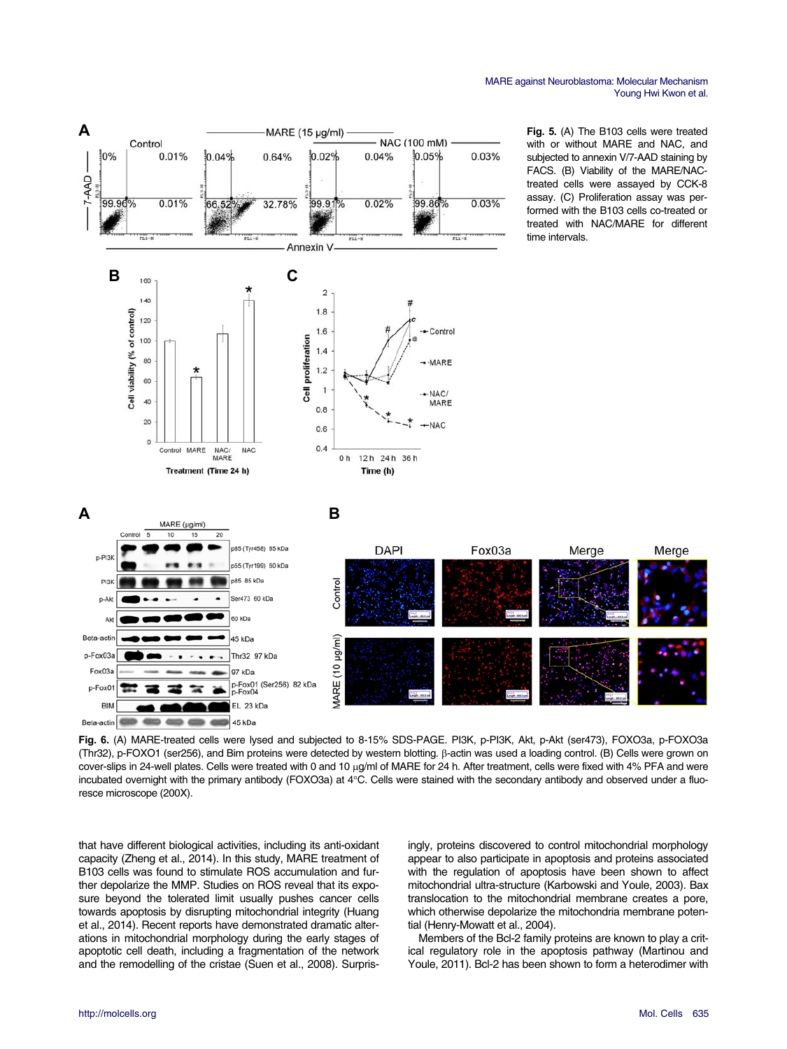

**Fig. 6.** (A) MARE-treated cells were lysed and subjected to 8-15% SDS-PAGE. PI3K, p-PI3K, Akt, p-Akt (ser473), FOXO3a, p-FOXO3a (Thr32), p-FOXO1 (ser256), and Bim proteins were detected by western blotting.  $\beta$ -actin was used a loading control. (B) Cells were grown on cover-slips in 24-well plates. Cells were treated with 0 and 10 µg/ml of MARE for 24 h. After treatment, cells were fixed with 4% PFA and were incubated overnight with the primary antibody (FOXO3a) at 4°C. Cells were stained with the secondary antibody and observed under a fluoresce microscope (200X).

that have different biological activities, including its anti-oxidant capacity (Zheng et al., 2014). In this study, MARE treatment of B103 cells was found to stimulate ROS accumulation and further depolarize the MMP. Studies on ROS reveal that its exposure beyond the tolerated limit usually pushes cancer cells towards apoptosis by disrupting mitochondrial integrity (Huang et al., 2014). Recent reports have demonstrated dramatic alterations in mitochondrial morphology during the early stages of apoptotic cell death, including a fragmentation of the network and the remodelling of the cristae (Suen et al., 2008). Surprisingly, proteins discovered to control mitochondrial morphology appear to also participate in apoptosis and proteins associated with the regulation of apoptosis have been shown to affect mitochondrial ultra-structure (Karbowski and Youle, 2003). Bax translocation to the mitochondrial membrane creates a pore, which otherwise depolarize the mitochondria membrane potential (Henry-Mowatt et al., 2004).

Members of the Bcl-2 family proteins are known to play a critical regulatory role in the apoptosis pathway (Martinou and Youle, 2011). Bcl-2 has been shown to form a heterodimer with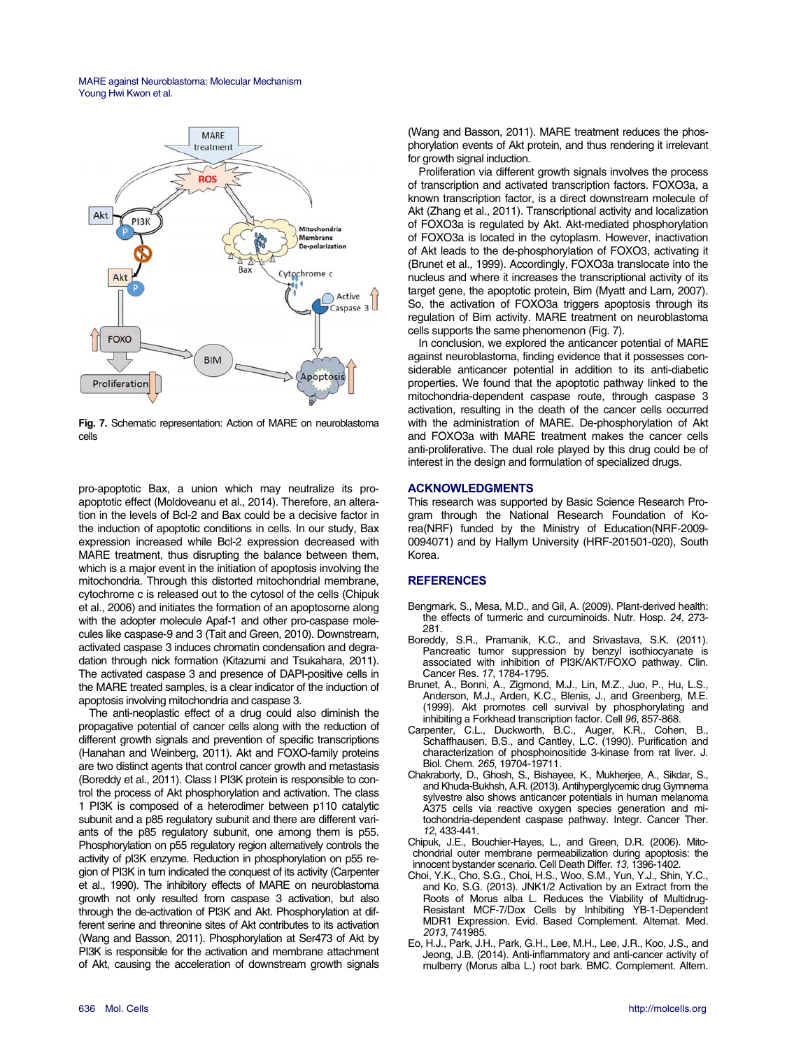MARE against Neuroblastoma: Molecular Mechanism Young Hwi Kwon et al.



**Fig. 7.** Schematic representation: Action of MARE on neuroblastoma cells

pro-apoptotic Bax, a union which may neutralize its proapoptotic effect (Moldoveanu et al., 2014). Therefore, an alteration in the levels of Bcl-2 and Bax could be a decisive factor in the induction of apoptotic conditions in cells. In our study, Bax expression increased while Bcl-2 expression decreased with MARE treatment, thus disrupting the balance between them, which is a major event in the initiation of apoptosis involving the mitochondria. Through this distorted mitochondrial membrane, cytochrome c is released out to the cytosol of the cells (Chipuk et al., 2006) and initiates the formation of an apoptosome along with the adopter molecule Apaf-1 and other pro-caspase molecules like caspase-9 and 3 (Tait and Green, 2010). Downstream, activated caspase 3 induces chromatin condensation and degradation through nick formation (Kitazumi and Tsukahara, 2011). The activated caspase 3 and presence of DAPI-positive cells in the MARE treated samples, is a clear indicator of the induction of apoptosis involving mitochondria and caspase 3.

The anti-neoplastic effect of a drug could also diminish the propagative potential of cancer cells along with the reduction of different growth signals and prevention of specific transcriptions (Hanahan and Weinberg, 2011). Akt and FOXO-family proteins are two distinct agents that control cancer growth and metastasis (Boreddy et al., 2011). Class I PI3K protein is responsible to control the process of Akt phosphorylation and activation. The class 1 PI3K is composed of a heterodimer between p110 catalytic subunit and a p85 regulatory subunit and there are different variants of the p85 regulatory subunit, one among them is p55. Phosphorylation on p55 regulatory region alternatively controls the activity of pI3K enzyme. Reduction in phosphorylation on p55 region of PI3K in turn indicated the conquest of its activity (Carpenter et al., 1990). The inhibitory effects of MARE on neuroblastoma growth not only resulted from caspase 3 activation, but also through the de-activation of PI3K and Akt. Phosphorylation at different serine and threonine sites of Akt contributes to its activation (Wang and Basson, 2011). Phosphorylation at Ser473 of Akt by PI3K is responsible for the activation and membrane attachment of Akt, causing the acceleration of downstream growth signals

(Wang and Basson, 2011). MARE treatment reduces the phosphorylation events of Akt protein, and thus rendering it irrelevant for growth signal induction.

Proliferation via different growth signals involves the process of transcription and activated transcription factors. FOXO3a, a known transcription factor, is a direct downstream molecule of Akt (Zhang et al., 2011). Transcriptional activity and localization of FOXO3a is regulated by Akt. Akt-mediated phosphorylation of FOXO3a is located in the cytoplasm. However, inactivation of Akt leads to the de-phosphorylation of FOXO3, activating it (Brunet et al., 1999). Accordingly, FOXO3a translocate into the nucleus and where it increases the transcriptional activity of its target gene, the apoptotic protein, Bim (Myatt and Lam, 2007). So, the activation of FOXO3a triggers apoptosis through its regulation of Bim activity. MARE treatment on neuroblastoma cells supports the same phenomenon (Fig. 7).

In conclusion, we explored the anticancer potential of MARE against neuroblastoma, finding evidence that it possesses considerable anticancer potential in addition to its anti-diabetic properties. We found that the apoptotic pathway linked to the mitochondria-dependent caspase route, through caspase 3 activation, resulting in the death of the cancer cells occurred with the administration of MARE. De-phosphorylation of Akt and FOXO3a with MARE treatment makes the cancer cells anti-proliferative. The dual role played by this drug could be of interest in the design and formulation of specialized drugs.

## **ACKNOWLEDGMENTS**

This research was supported by Basic Science Research Program through the National Research Foundation of Korea(NRF) funded by the Ministry of Education(NRF-2009- 0094071) and by Hallym University (HRF-201501-020), South Korea.

# **REFERENCES**

- Bengmark, S., Mesa, M.D., and Gil, A. (2009). Plant-derived health: the effects of turmeric and curcuminoids. Nutr. Hosp. *24*, 273- 281.
- Boreddy, S.R., Pramanik, K.C., and Srivastava, S.K. (2011). Pancreatic tumor suppression by benzyl isothiocyanate is associated with inhibition of PI3K/AKT/FOXO pathway. Clin.<br>Cancer Res. 17, 1784-1795.
- Cancer Res. *17*, 1784-1795. Brunet, A., Bonni, A., Zigmond, M.J., Lin, M.Z., Juo, P., Hu, L.S., Anderson, M.J., Arden, K.C., Blenis, J., and Greenberg, M.E. (1999). Akt promotes cell survival by phosphorylating and inhibiting a Forkhead transcription factor. Cell 96, 857-868.
- inhibiting a Forkhead transcription factor. Cell *96*, 857-868. Carpenter, C.L., Duckworth, B.C., Auger, K.R., Cohen, B., Schaffhausen, B.S., and Cantley, L.C. (1990). Purification and characterization of phosphoinositide 3-kinase from rat liver. J. Biol. Chem. *265*, 19704-19711.
- Chakraborty, D., Ghosh, S., Bishayee, K., Mukherjee, A., Sikdar, S., and Khuda-Bukhsh, A.R. (2013). Antihyperglycemic drug Gymnema sylvestre also shows anticancer potentials in human melanoma A375 cells via reactive oxygen species generation and mitochondria-dependent caspase pathway. Integr. Cancer Ther.

*12*, 433-441. Chipuk, J.E., Bouchier-Hayes, L., and Green, D.R. (2006). Mitochondrial outer membrane permeabilization during apoptosis: the innocent bystander scenario. Cell Death Differ. *13*, 1396-1402.

- Choi, Y.K., Cho, S.G., Choi, H.S., Woo, S.M., Yun, Y.J., Shin, Y.C., and Ko, S.G. (2013). JNK1/2 Activation by an Extract from the Roots of Morus alba L. Reduces the Viability of Multidrug-Resistant MCF-7/Dox Cells by Inhibiting YB-1-Dependent MDR1 Expression. Evid. Based Complement. Alternat. Med.
- *2013*, 741985. Eo, H.J., Park, J.H., Park, G.H., Lee, M.H., Lee, J.R., Koo, J.S., and Jeong, J.B. (2014). Anti-inflammatory and anti-cancer activity of mulberry (Morus alba L.) root bark. BMC. Complement. Altern.